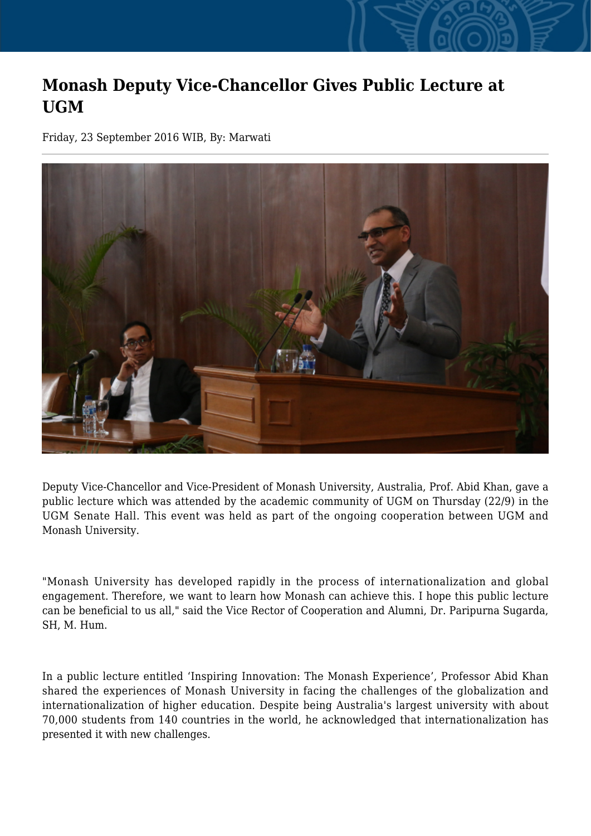## **Monash Deputy Vice-Chancellor Gives Public Lecture at UGM**

Friday, 23 September 2016 WIB, By: Marwati



Deputy Vice-Chancellor and Vice-President of Monash University, Australia, Prof. Abid Khan, gave a public lecture which was attended by the academic community of UGM on Thursday (22/9) in the UGM Senate Hall. This event was held as part of the ongoing cooperation between UGM and Monash University.

"Monash University has developed rapidly in the process of internationalization and global engagement. Therefore, we want to learn how Monash can achieve this. I hope this public lecture can be beneficial to us all," said the Vice Rector of Cooperation and Alumni, Dr. Paripurna Sugarda, SH, M. Hum.

In a public lecture entitled 'Inspiring Innovation: The Monash Experience', Professor Abid Khan shared the experiences of Monash University in facing the challenges of the globalization and internationalization of higher education. Despite being Australia's largest university with about 70,000 students from 140 countries in the world, he acknowledged that internationalization has presented it with new challenges.